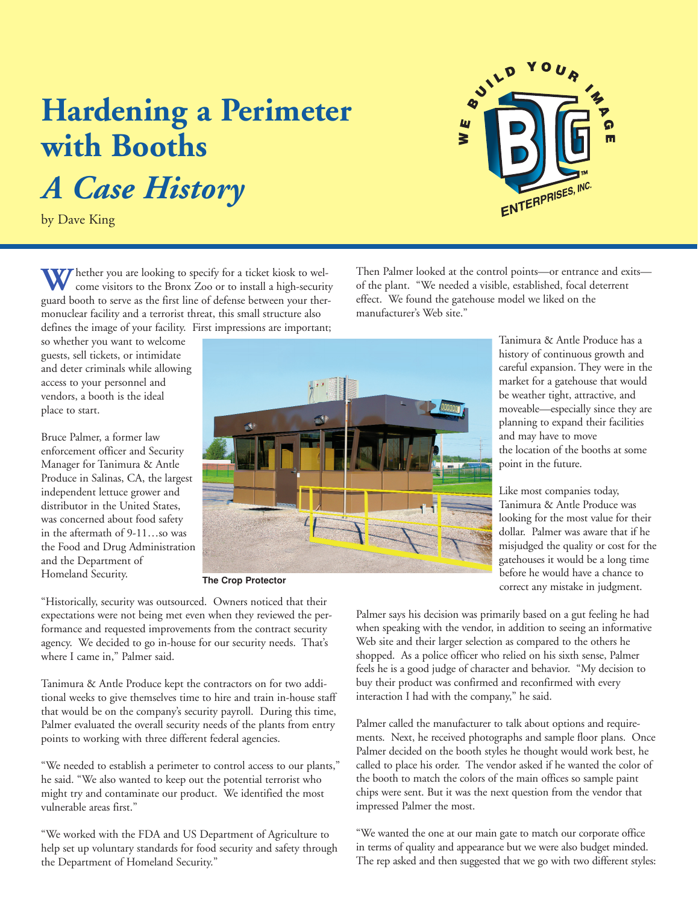## **Hardening a Perimeter with Booths** *A Case History*

by Dave King

Whether you are looking to specify for a ticket kiosk to welcome visitors to the Bronx Zoo or to install a high-security guard booth to serve as the first line of defense between your thermonuclear facility and a terrorist threat, this small structure also defines the image of your facility. First impressions are important;

so whether you want to welcome guests, sell tickets, or intimidate and deter criminals while allowing access to your personnel and vendors, a booth is the ideal place to start.

Bruce Palmer, a former law enforcement officer and Security Manager for Tanimura & Antle Produce in Salinas, CA, the largest independent lettuce grower and distributor in the United States, was concerned about food safety in the aftermath of 9-11…so was the Food and Drug Administration and the Department of Homeland Security.

**The Crop Protector**

"Historically, security was outsourced. Owners noticed that their expectations were not being met even when they reviewed the performance and requested improvements from the contract security agency. We decided to go in-house for our security needs. That's where I came in," Palmer said.

Tanimura & Antle Produce kept the contractors on for two additional weeks to give themselves time to hire and train in-house staff that would be on the company's security payroll. During this time, Palmer evaluated the overall security needs of the plants from entry points to working with three different federal agencies.

"We needed to establish a perimeter to control access to our plants," he said. "We also wanted to keep out the potential terrorist who might try and contaminate our product. We identified the most vulnerable areas first."

"We worked with the FDA and US Department of Agriculture to help set up voluntary standards for food security and safety through the Department of Homeland Security."

of the plant. "We needed a visible, established, focal deterrent effect. We found the gatehouse model we liked on the manufacturer's Web site."

> Tanimura & Antle Produce has a history of continuous growth and careful expansion. They were in the market for a gatehouse that would be weather tight, attractive, and moveable—especially since they are planning to expand their facilities and may have to move the location of the booths at some point in the future.

Like most companies today, Tanimura & Antle Produce was looking for the most value for their dollar. Palmer was aware that if he misjudged the quality or cost for the gatehouses it would be a long time before he would have a chance to correct any mistake in judgment.

Palmer says his decision was primarily based on a gut feeling he had when speaking with the vendor, in addition to seeing an informative Web site and their larger selection as compared to the others he shopped. As a police officer who relied on his sixth sense, Palmer feels he is a good judge of character and behavior. "My decision to buy their product was confirmed and reconfirmed with every interaction I had with the company," he said.

Palmer called the manufacturer to talk about options and requirements. Next, he received photographs and sample floor plans. Once Palmer decided on the booth styles he thought would work best, he called to place his order. The vendor asked if he wanted the color of the booth to match the colors of the main offices so sample paint chips were sent. But it was the next question from the vendor that impressed Palmer the most.

"We wanted the one at our main gate to match our corporate office in terms of quality and appearance but we were also budget minded. The rep asked and then suggested that we go with two different styles: